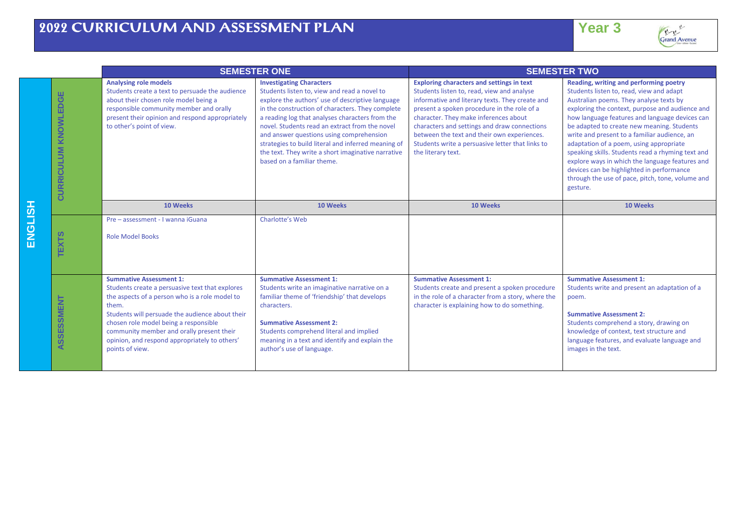

|                |                                         |                                                                                                                                                                                                                                                                                                                                                           | <b>SEMESTER ONE</b>                                                                                                                                                                                                                                                                                                                                                                                                                                                                 | <b>SEMESTER TWO</b>                                                                                                                                                                                                                                                                                                                                                                                                |                                                                                                                                                                                                                                                                                                                                                                                                                                                                                                                                                                                                  |
|----------------|-----------------------------------------|-----------------------------------------------------------------------------------------------------------------------------------------------------------------------------------------------------------------------------------------------------------------------------------------------------------------------------------------------------------|-------------------------------------------------------------------------------------------------------------------------------------------------------------------------------------------------------------------------------------------------------------------------------------------------------------------------------------------------------------------------------------------------------------------------------------------------------------------------------------|--------------------------------------------------------------------------------------------------------------------------------------------------------------------------------------------------------------------------------------------------------------------------------------------------------------------------------------------------------------------------------------------------------------------|--------------------------------------------------------------------------------------------------------------------------------------------------------------------------------------------------------------------------------------------------------------------------------------------------------------------------------------------------------------------------------------------------------------------------------------------------------------------------------------------------------------------------------------------------------------------------------------------------|
|                | ш<br>EDGI<br>KNOWL<br><b>CURRICULUM</b> | <b>Analysing role models</b><br>Students create a text to persuade the audience<br>about their chosen role model being a<br>responsible community member and orally<br>present their opinion and respond appropriately<br>to other's point of view.                                                                                                       | <b>Investigating Characters</b><br>Students listen to, view and read a novel to<br>explore the authors' use of descriptive language<br>in the construction of characters. They complete<br>a reading log that analyses characters from the<br>novel. Students read an extract from the novel<br>and answer questions using comprehension<br>strategies to build literal and inferred meaning of<br>the text. They write a short imaginative narrative<br>based on a familiar theme. | <b>Exploring characters and settings in text</b><br>Students listen to, read, view and analyse<br>informative and literary texts. They create and<br>present a spoken procedure in the role of a<br>character. They make inferences about<br>characters and settings and draw connections<br>between the text and their own experiences.<br>Students write a persuasive letter that links to<br>the literary text. | Reading, writing and performing poetry<br>Students listen to, read, view and adapt<br>Australian poems. They analyse texts by<br>exploring the context, purpose and audience and<br>how language features and language devices can<br>be adapted to create new meaning. Students<br>write and present to a familiar audience, an<br>adaptation of a poem, using appropriate<br>speaking skills. Students read a rhyming text and<br>explore ways in which the language features and<br>devices can be highlighted in performance<br>through the use of pace, pitch, tone, volume and<br>gesture. |
|                |                                         | 10 Weeks                                                                                                                                                                                                                                                                                                                                                  | 10 Weeks                                                                                                                                                                                                                                                                                                                                                                                                                                                                            | 10 Weeks                                                                                                                                                                                                                                                                                                                                                                                                           | 10 Weeks                                                                                                                                                                                                                                                                                                                                                                                                                                                                                                                                                                                         |
| <b>HSITONE</b> | ທ<br>EXE                                | Pre - assessment - I wanna iGuana<br><b>Role Model Books</b>                                                                                                                                                                                                                                                                                              | Charlotte's Web                                                                                                                                                                                                                                                                                                                                                                                                                                                                     |                                                                                                                                                                                                                                                                                                                                                                                                                    |                                                                                                                                                                                                                                                                                                                                                                                                                                                                                                                                                                                                  |
|                | ASSESSMENT                              | <b>Summative Assessment 1:</b><br>Students create a persuasive text that explores<br>the aspects of a person who is a role model to<br>them.<br>Students will persuade the audience about their<br>chosen role model being a responsible<br>community member and orally present their<br>opinion, and respond appropriately to others'<br>points of view. | <b>Summative Assessment 1:</b><br>Students write an imaginative narrative on a<br>familiar theme of 'friendship' that develops<br>characters.<br><b>Summative Assessment 2:</b><br>Students comprehend literal and implied<br>meaning in a text and identify and explain the<br>author's use of language.                                                                                                                                                                           | <b>Summative Assessment 1:</b><br>Students create and present a spoken procedure<br>in the role of a character from a story, where the<br>character is explaining how to do something.                                                                                                                                                                                                                             | <b>Summative Assessment 1:</b><br>Students write and present an adaptation of a<br>poem.<br><b>Summative Assessment 2:</b><br>Students comprehend a story, drawing on<br>knowledge of context, text structure and<br>language features, and evaluate language and<br>images in the text.                                                                                                                                                                                                                                                                                                         |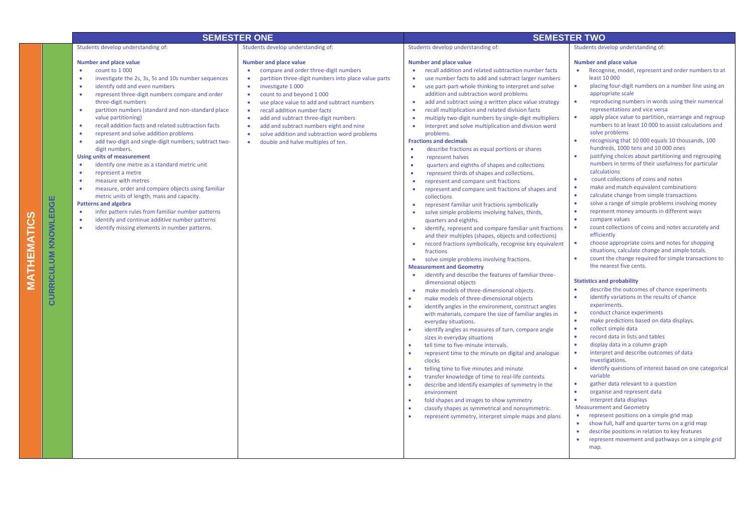|                                      |                                                                                                                                                                                                                                                                                                                                                                                                                                                                                                                                                                                                                                                                                                                                                                                                                                                                                                                                                                                                                                                                              | <b>SEMESTER ONE</b>                                                                                                                                                                                                                                                                                                                                                                                                                                                                                                                                                        |                                                                                                                                                                                                                                                                                                                                                                                                                                                                                                                                                                                                                                                                                                                                                                                                                                                                                                                                                                                                                                                                                                                                                                                                                                                                                                                                                                                                                                                                                                                                                                                                                                                                                                                                                                                                                                                                                                                                                                                                                                                                                                                                                                                                                                                                                                   | <b>SEMESTER TWO</b>                                                                                                                                                                                                                                                                                                                                                                                                                                                                                                                                                                                                                                                                                                                                                                                                                                                                                                                                                                                                                                                                                                                                                                                                                                                                                                                                                                                                                                                                                                                                                                                                                                                                                                                                                                                                                                                                                                                                                                                                                                                                                                                                                                                                                     |
|--------------------------------------|------------------------------------------------------------------------------------------------------------------------------------------------------------------------------------------------------------------------------------------------------------------------------------------------------------------------------------------------------------------------------------------------------------------------------------------------------------------------------------------------------------------------------------------------------------------------------------------------------------------------------------------------------------------------------------------------------------------------------------------------------------------------------------------------------------------------------------------------------------------------------------------------------------------------------------------------------------------------------------------------------------------------------------------------------------------------------|----------------------------------------------------------------------------------------------------------------------------------------------------------------------------------------------------------------------------------------------------------------------------------------------------------------------------------------------------------------------------------------------------------------------------------------------------------------------------------------------------------------------------------------------------------------------------|---------------------------------------------------------------------------------------------------------------------------------------------------------------------------------------------------------------------------------------------------------------------------------------------------------------------------------------------------------------------------------------------------------------------------------------------------------------------------------------------------------------------------------------------------------------------------------------------------------------------------------------------------------------------------------------------------------------------------------------------------------------------------------------------------------------------------------------------------------------------------------------------------------------------------------------------------------------------------------------------------------------------------------------------------------------------------------------------------------------------------------------------------------------------------------------------------------------------------------------------------------------------------------------------------------------------------------------------------------------------------------------------------------------------------------------------------------------------------------------------------------------------------------------------------------------------------------------------------------------------------------------------------------------------------------------------------------------------------------------------------------------------------------------------------------------------------------------------------------------------------------------------------------------------------------------------------------------------------------------------------------------------------------------------------------------------------------------------------------------------------------------------------------------------------------------------------------------------------------------------------------------------------------------------------|-----------------------------------------------------------------------------------------------------------------------------------------------------------------------------------------------------------------------------------------------------------------------------------------------------------------------------------------------------------------------------------------------------------------------------------------------------------------------------------------------------------------------------------------------------------------------------------------------------------------------------------------------------------------------------------------------------------------------------------------------------------------------------------------------------------------------------------------------------------------------------------------------------------------------------------------------------------------------------------------------------------------------------------------------------------------------------------------------------------------------------------------------------------------------------------------------------------------------------------------------------------------------------------------------------------------------------------------------------------------------------------------------------------------------------------------------------------------------------------------------------------------------------------------------------------------------------------------------------------------------------------------------------------------------------------------------------------------------------------------------------------------------------------------------------------------------------------------------------------------------------------------------------------------------------------------------------------------------------------------------------------------------------------------------------------------------------------------------------------------------------------------------------------------------------------------------------------------------------------------|
|                                      | Students develop understanding of:                                                                                                                                                                                                                                                                                                                                                                                                                                                                                                                                                                                                                                                                                                                                                                                                                                                                                                                                                                                                                                           | Students develop understanding of:                                                                                                                                                                                                                                                                                                                                                                                                                                                                                                                                         | Students develop understanding of:                                                                                                                                                                                                                                                                                                                                                                                                                                                                                                                                                                                                                                                                                                                                                                                                                                                                                                                                                                                                                                                                                                                                                                                                                                                                                                                                                                                                                                                                                                                                                                                                                                                                                                                                                                                                                                                                                                                                                                                                                                                                                                                                                                                                                                                                | Students develop understanding of:                                                                                                                                                                                                                                                                                                                                                                                                                                                                                                                                                                                                                                                                                                                                                                                                                                                                                                                                                                                                                                                                                                                                                                                                                                                                                                                                                                                                                                                                                                                                                                                                                                                                                                                                                                                                                                                                                                                                                                                                                                                                                                                                                                                                      |
| ш<br><b>CURRICULUM KNOWLEDG</b><br>⊡ | <b>Number and place value</b><br>count to 1000<br>$\bullet$<br>investigate the 2s, 3s, 5s and 10s number sequences<br>$\bullet$<br>identify odd and even numbers<br>represent three-digit numbers compare and order<br>$\bullet$<br>three-digit numbers<br>partition numbers (standard and non-standard place<br>$\bullet$<br>value partitioning)<br>recall addition facts and related subtraction facts<br>$\bullet$<br>represent and solve addition problems<br>$\bullet$<br>add two-digit and single-digit numbers; subtract two-<br>$\bullet$<br>digit numbers.<br><b>Using units of measurement</b><br>identify one metre as a standard metric unit<br>$\bullet$<br>represent a metre<br>$\bullet$<br>measure with metres<br>$\bullet$<br>measure, order and compare objects using familiar<br>$\bullet$<br>metric units of length, mass and capacity.<br><b>Patterns and algebra</b><br>infer pattern rules from familiar number patterns<br>$\bullet$<br>identify and continue additive number patterns<br>$\bullet$<br>identify missing elements in number patterns. | <b>Number and place value</b><br>compare and order three-digit numbers<br>$\bullet$<br>partition three-digit numbers into place value parts<br>$\bullet$<br>investigate 1 000<br>$\bullet$<br>count to and beyond 1 000<br>$\bullet$<br>use place value to add and subtract numbers<br>$\bullet$<br>recall addition number facts<br>$\bullet$<br>add and subtract three-digit numbers<br>$\bullet$<br>$\bullet$<br>add and subtract numbers eight and nine<br>solve addition and subtraction word problems<br>$\bullet$<br>double and halve multiples of ten.<br>$\bullet$ | <b>Number and place value</b><br>recall addition and related subtraction number facts<br>use number facts to add and subtract larger numbers<br>$\bullet$<br>use part-part-whole thinking to interpret and solve<br>٠<br>addition and subtraction word problems<br>add and subtract using a written place value strategy<br>$\bullet$<br>recall multiplication and related division facts<br>multiply two-digit numbers by single-digit multipliers<br>۰<br>interpret and solve multiplication and division word<br>$\bullet$<br>problems.<br><b>Fractions and decimals</b><br>describe fractions as equal portions or shares<br>$\bullet$<br>represent halves<br>$\bullet$<br>quarters and eighths of shapes and collections<br>٠<br>represent thirds of shapes and collections.<br>$\bullet$<br>represent and compare unit fractions<br>represent and compare unit fractions of shapes and<br>$\bullet$<br>collections<br>represent familiar unit fractions symbolically<br>$\bullet$<br>solve simple problems involving halves, thirds,<br>$\bullet$<br>quarters and eighths.<br>identify, represent and compare familiar unit fractions<br>$\bullet$<br>and their multiples (shapes, objects and collections)<br>record fractions symbolically, recognise key equivalent<br>fractions<br>solve simple problems involving fractions.<br>$\bullet$<br><b>Measurement and Geometry</b><br>identify and describe the features of familiar three-<br>dimensional objects<br>make models of three-dimensional objects.<br>make models of three-dimensional objects<br>$\bullet$<br>identify angles in the environment, construct angles<br>with materials, compare the size of familiar angles in<br>everyday situations.<br>identify angles as measures of turn, compare angle<br>$\bullet$<br>sizes in everyday situations<br>tell time to five-minute intervals.<br>represent time to the minute on digital and analogue<br>$\bullet$<br>clocks<br>telling time to five minutes and minute<br>$\bullet$<br>transfer knowledge of time to real-life contexts.<br>describe and identify examples of symmetry in the<br>٠<br>environment<br>fold shapes and images to show symmetry<br>٠<br>classify shapes as symmetrical and nonsymmetric.<br>represent symmetry, interpret simple maps and plans | <b>Number and place value</b><br>Recognise, model, represent and order numbers to at<br>least 10 000<br>٠<br>placing four-digit numbers on a number line using an<br>appropriate scale<br>reproducing numbers in words using their numerical<br>$\bullet$<br>representations and vice versa<br>apply place value to partition, rearrange and regroup<br>numbers to at least 10 000 to assist calculations and<br>solve problems<br>recognising that 10 000 equals 10 thousands, 100<br>٠<br>hundreds, 1000 tens and 10 000 ones<br>justifying choices about partitioning and regrouping<br>$\bullet$<br>numbers in terms of their usefulness for particular<br>calculations<br>count collections of coins and notes<br>٠<br>$\bullet$<br>make and match equivalent combinations<br>$\bullet$<br>calculate change from simple transactions<br>$\bullet$<br>solve a range of simple problems involving money<br>represent money amounts in different ways<br>٠<br>compare values<br>count collections of coins and notes accurately and<br>efficiently<br>choose appropriate coins and notes for shopping<br>$\bullet$<br>situations, calculate change and simple totals.<br>count the change required for simple transactions to<br>$\bullet$<br>the nearest five cents.<br><b>Statistics and probability</b><br>describe the outcomes of chance experiments<br>$\bullet$<br>identify variations in the results of chance<br>experiments.<br>conduct chance experiments<br>$\bullet$<br>make predictions based on data displays.<br>$\bullet$<br>collect simple data<br>$\bullet$<br>record data in lists and tables<br>$\bullet$<br>display data in a column graph<br>interpret and describe outcomes of data<br>investigations.<br>identify questions of interest based on one categorical<br>$\bullet$<br>variable<br>gather data relevant to a question<br>$\bullet$<br>$\bullet$<br>organise and represent data<br>$\bullet$<br>interpret data displays<br><b>Measurement and Geometry</b><br>represent positions on a simple grid map<br>٠<br>show full, half and quarter turns on a grid map<br>$\bullet$<br>describe positions in relation to key features<br>٠<br>represent movement and pathways on a simple grid<br>٠<br>map. |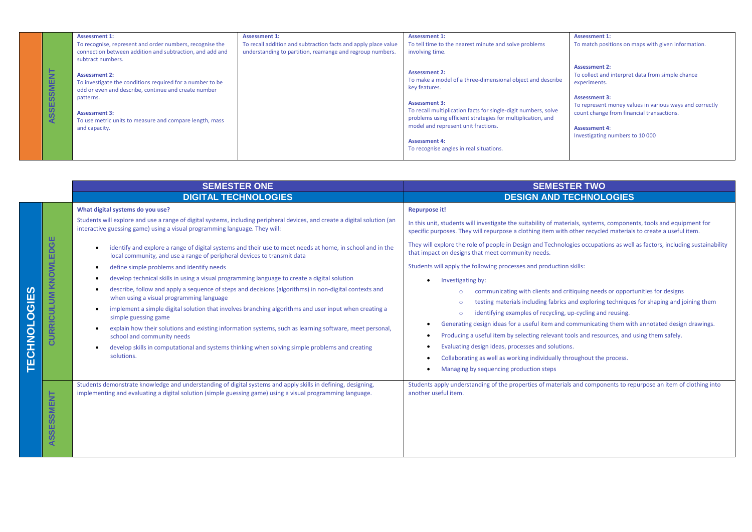|            | <b>Assessment 1:</b>                                      | <b>Assessment 1:</b>                                           | <b>Assessment 1:</b>                                           | <b>Assessment 1:</b>                                    |
|------------|-----------------------------------------------------------|----------------------------------------------------------------|----------------------------------------------------------------|---------------------------------------------------------|
|            | To recognise, represent and order numbers, recognise the  | To recall addition and subtraction facts and apply place value | To tell time to the nearest minute and solve problems          | To match positions on maps with given information.      |
|            | connection between addition and subtraction, and add and  | understanding to partition, rearrange and regroup numbers.     | involving time.                                                |                                                         |
|            | subtract numbers.                                         |                                                                |                                                                |                                                         |
|            |                                                           |                                                                |                                                                | <b>Assessment 2:</b>                                    |
|            | <b>Assessment 2:</b>                                      |                                                                | <b>Assessment 2:</b>                                           | To collect and interpret data from simple chance        |
|            | To investigate the conditions required for a number to be |                                                                | To make a model of a three-dimensional object and describe     | experiments.                                            |
|            | odd or even and describe, continue and create number      |                                                                | key features.                                                  |                                                         |
| ASSESSMENT | patterns.                                                 |                                                                |                                                                | <b>Assessment 3:</b>                                    |
|            |                                                           |                                                                | <b>Assessment 3:</b>                                           | To represent money values in various ways and correctly |
|            | <b>Assessment 3:</b>                                      |                                                                | To recall multiplication facts for single-digit numbers, solve | count change from financial transactions.               |
|            | To use metric units to measure and compare length, mass   |                                                                | problems using efficient strategies for multiplication, and    |                                                         |
|            | and capacity.                                             |                                                                | model and represent unit fractions.                            | <b>Assessment 4:</b>                                    |
|            |                                                           |                                                                |                                                                | Investigating numbers to 10 000                         |
|            |                                                           |                                                                | <b>Assessment 4:</b>                                           |                                                         |
|            |                                                           |                                                                | To recognise angles in real situations.                        |                                                         |
|            |                                                           |                                                                |                                                                |                                                         |

|                         | <b>SEMESTER ONE</b>                                |                                                                                                                                                                                                                                                                                                                                                                                                                                                                                                                                                                                                                                                                                                                                                                                                                                                                                                                                                                                                                                                                                                                                 | <b>SEMESTER TWO</b>                                                                                                                                                                                                                                                                                                                                                                                                                                                                                                                                                                                                                                                                                                                                                                                                                                                                                                                                                                                                                                                                                                                                                     |  |
|-------------------------|----------------------------------------------------|---------------------------------------------------------------------------------------------------------------------------------------------------------------------------------------------------------------------------------------------------------------------------------------------------------------------------------------------------------------------------------------------------------------------------------------------------------------------------------------------------------------------------------------------------------------------------------------------------------------------------------------------------------------------------------------------------------------------------------------------------------------------------------------------------------------------------------------------------------------------------------------------------------------------------------------------------------------------------------------------------------------------------------------------------------------------------------------------------------------------------------|-------------------------------------------------------------------------------------------------------------------------------------------------------------------------------------------------------------------------------------------------------------------------------------------------------------------------------------------------------------------------------------------------------------------------------------------------------------------------------------------------------------------------------------------------------------------------------------------------------------------------------------------------------------------------------------------------------------------------------------------------------------------------------------------------------------------------------------------------------------------------------------------------------------------------------------------------------------------------------------------------------------------------------------------------------------------------------------------------------------------------------------------------------------------------|--|
|                         |                                                    | <b>DIGITAL TECHNOLOGIES</b>                                                                                                                                                                                                                                                                                                                                                                                                                                                                                                                                                                                                                                                                                                                                                                                                                                                                                                                                                                                                                                                                                                     | <b>DESIGN AND TECHNOLOGIES</b>                                                                                                                                                                                                                                                                                                                                                                                                                                                                                                                                                                                                                                                                                                                                                                                                                                                                                                                                                                                                                                                                                                                                          |  |
| ဟ<br><b>TECHNOLOGIE</b> | ш<br>$\circ$<br>$\Box$<br>ш<br>KNOWL<br>CURRICULUM | What digital systems do you use?<br>Students will explore and use a range of digital systems, including peripheral devices, and create a digital solution (an<br>interactive guessing game) using a visual programming language. They will:<br>identify and explore a range of digital systems and their use to meet needs at home, in school and in the<br>local community, and use a range of peripheral devices to transmit data<br>define simple problems and identify needs<br>develop technical skills in using a visual programming language to create a digital solution<br>describe, follow and apply a sequence of steps and decisions (algorithms) in non-digital contexts and<br>when using a visual programming language<br>implement a simple digital solution that involves branching algorithms and user input when creating a<br>simple guessing game<br>explain how their solutions and existing information systems, such as learning software, meet personal,<br>school and community needs<br>develop skills in computational and systems thinking when solving simple problems and creating<br>solutions. | <b>Repurpose it!</b><br>In this unit, students will investigate the suitability of materials, systems, components, tools and equipment for<br>specific purposes. They will repurpose a clothing item with other recycled materials to create a useful item.<br>They will explore the role of people in Design and Technologies occupations as well as factors, including sustainability<br>that impact on designs that meet community needs.<br>Students will apply the following processes and production skills:<br>Investigating by:<br>communicating with clients and critiquing needs or opportunities for designs<br>testing materials including fabrics and exploring techniques for shaping and joining them<br>$\circ$<br>identifying examples of recycling, up-cycling and reusing.<br>Generating design ideas for a useful item and communicating them with annotated design drawings.<br>Producing a useful item by selecting relevant tools and resources, and using them safely.<br>Evaluating design ideas, processes and solutions.<br>Collaborating as well as working individually throughout the process.<br>Managing by sequencing production steps |  |
|                         | SSMENT<br><b>W</b><br>$\overline{a}$               | Students demonstrate knowledge and understanding of digital systems and apply skills in defining, designing,<br>implementing and evaluating a digital solution (simple guessing game) using a visual programming language.                                                                                                                                                                                                                                                                                                                                                                                                                                                                                                                                                                                                                                                                                                                                                                                                                                                                                                      | Students apply understanding of the properties of materials and components to repurpose an item of clothing into<br>another useful item.                                                                                                                                                                                                                                                                                                                                                                                                                                                                                                                                                                                                                                                                                                                                                                                                                                                                                                                                                                                                                                |  |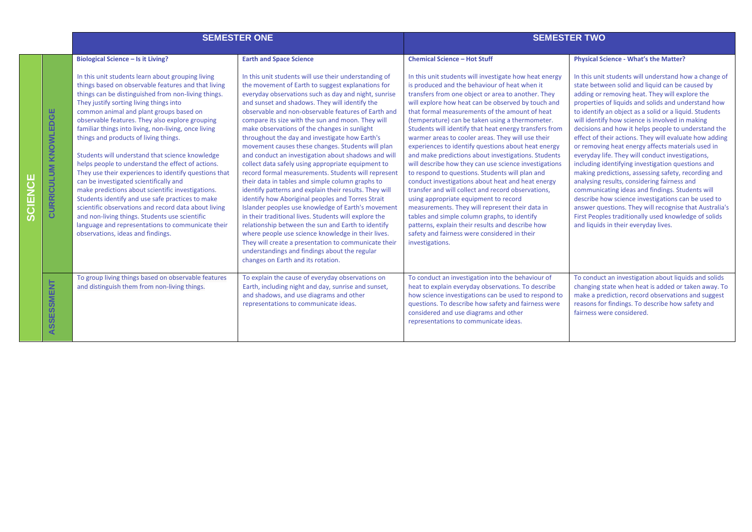|                             | <b>SEMESTER ONE</b>                                                                                                                                                                                                                                                                                                                                                                                                                                                                                                                                                                                                                                                                                                                                                                                                                                                                                                                                                            |                                                                                                                                                                                                                                                                                                                                                                                                                                                                                                                                                                                                                                                                                                                                                                                                                                                                                                                                                                                                                                                                                                                                                                                                                                            | <b>SEMESTER TWO</b>                                                                                                                                                                                                                                                                                                                                                                                                                                                                                                                                                                                                                                                                                                                                                                                                                                                                                                                                                                                                                                                                    |                                                                                                                                                                                                                                                                                                                                                                                                                                                                                                                                                                                                                                                                                                                                                                                                                                                                                                                                                                                                                                        |
|-----------------------------|--------------------------------------------------------------------------------------------------------------------------------------------------------------------------------------------------------------------------------------------------------------------------------------------------------------------------------------------------------------------------------------------------------------------------------------------------------------------------------------------------------------------------------------------------------------------------------------------------------------------------------------------------------------------------------------------------------------------------------------------------------------------------------------------------------------------------------------------------------------------------------------------------------------------------------------------------------------------------------|--------------------------------------------------------------------------------------------------------------------------------------------------------------------------------------------------------------------------------------------------------------------------------------------------------------------------------------------------------------------------------------------------------------------------------------------------------------------------------------------------------------------------------------------------------------------------------------------------------------------------------------------------------------------------------------------------------------------------------------------------------------------------------------------------------------------------------------------------------------------------------------------------------------------------------------------------------------------------------------------------------------------------------------------------------------------------------------------------------------------------------------------------------------------------------------------------------------------------------------------|----------------------------------------------------------------------------------------------------------------------------------------------------------------------------------------------------------------------------------------------------------------------------------------------------------------------------------------------------------------------------------------------------------------------------------------------------------------------------------------------------------------------------------------------------------------------------------------------------------------------------------------------------------------------------------------------------------------------------------------------------------------------------------------------------------------------------------------------------------------------------------------------------------------------------------------------------------------------------------------------------------------------------------------------------------------------------------------|----------------------------------------------------------------------------------------------------------------------------------------------------------------------------------------------------------------------------------------------------------------------------------------------------------------------------------------------------------------------------------------------------------------------------------------------------------------------------------------------------------------------------------------------------------------------------------------------------------------------------------------------------------------------------------------------------------------------------------------------------------------------------------------------------------------------------------------------------------------------------------------------------------------------------------------------------------------------------------------------------------------------------------------|
| <b>CURRICULUM KNOWLEDGE</b> | <b>Biological Science - Is it Living?</b><br>In this unit students learn about grouping living<br>things based on observable features and that living<br>things can be distinguished from non-living things.<br>They justify sorting living things into<br>common animal and plant groups based on<br>observable features. They also explore grouping<br>familiar things into living, non-living, once living<br>things and products of living things.<br>Students will understand that science knowledge<br>helps people to understand the effect of actions.<br>They use their experiences to identify questions that<br>can be investigated scientifically and<br>make predictions about scientific investigations.<br>Students identify and use safe practices to make<br>scientific observations and record data about living<br>and non-living things. Students use scientific<br>language and representations to communicate their<br>observations, ideas and findings. | <b>Earth and Space Science</b><br>In this unit students will use their understanding of<br>the movement of Earth to suggest explanations for<br>everyday observations such as day and night, sunrise<br>and sunset and shadows. They will identify the<br>observable and non-observable features of Earth and<br>compare its size with the sun and moon. They will<br>make observations of the changes in sunlight<br>throughout the day and investigate how Earth's<br>movement causes these changes. Students will plan<br>and conduct an investigation about shadows and will<br>collect data safely using appropriate equipment to<br>record formal measurements. Students will represent<br>their data in tables and simple column graphs to<br>identify patterns and explain their results. They will<br>identify how Aboriginal peoples and Torres Strait<br>Islander peoples use knowledge of Earth's movement<br>in their traditional lives. Students will explore the<br>relationship between the sun and Earth to identify<br>where people use science knowledge in their lives.<br>They will create a presentation to communicate their<br>understandings and findings about the regular<br>changes on Earth and its rotation. | <b>Chemical Science - Hot Stuff</b><br>In this unit students will investigate how heat energy<br>is produced and the behaviour of heat when it<br>transfers from one object or area to another. They<br>will explore how heat can be observed by touch and<br>that formal measurements of the amount of heat<br>(temperature) can be taken using a thermometer.<br>Students will identify that heat energy transfers from<br>warmer areas to cooler areas. They will use their<br>experiences to identify questions about heat energy<br>and make predictions about investigations. Students<br>will describe how they can use science investigations<br>to respond to questions. Students will plan and<br>conduct investigations about heat and heat energy<br>transfer and will collect and record observations,<br>using appropriate equipment to record<br>measurements. They will represent their data in<br>tables and simple column graphs, to identify<br>patterns, explain their results and describe how<br>safety and fairness were considered in their<br>investigations. | <b>Physical Science - What's the Matter?</b><br>In this unit students will understand how a change of<br>state between solid and liquid can be caused by<br>adding or removing heat. They will explore the<br>properties of liquids and solids and understand how<br>to identify an object as a solid or a liquid. Students<br>will identify how science is involved in making<br>decisions and how it helps people to understand the<br>effect of their actions. They will evaluate how adding<br>or removing heat energy affects materials used in<br>everyday life. They will conduct investigations,<br>including identifying investigation questions and<br>making predictions, assessing safety, recording and<br>analysing results, considering fairness and<br>communicating ideas and findings. Students will<br>describe how science investigations can be used to<br>answer questions. They will recognise that Australia's<br>First Peoples traditionally used knowledge of solids<br>and liquids in their everyday lives. |
| ASSESSMENT                  | To group living things based on observable features<br>and distinguish them from non-living things.                                                                                                                                                                                                                                                                                                                                                                                                                                                                                                                                                                                                                                                                                                                                                                                                                                                                            | To explain the cause of everyday observations on<br>Earth, including night and day, sunrise and sunset,<br>and shadows, and use diagrams and other<br>representations to communicate ideas.                                                                                                                                                                                                                                                                                                                                                                                                                                                                                                                                                                                                                                                                                                                                                                                                                                                                                                                                                                                                                                                | To conduct an investigation into the behaviour of<br>heat to explain everyday observations. To describe<br>how science investigations can be used to respond to<br>questions. To describe how safety and fairness were<br>considered and use diagrams and other<br>representations to communicate ideas.                                                                                                                                                                                                                                                                                                                                                                                                                                                                                                                                                                                                                                                                                                                                                                               | To conduct an investigation about liquids and solids<br>changing state when heat is added or taken away. To<br>make a prediction, record observations and suggest<br>reasons for findings. To describe how safety and<br>fairness were considered.                                                                                                                                                                                                                                                                                                                                                                                                                                                                                                                                                                                                                                                                                                                                                                                     |

**SCIENCE**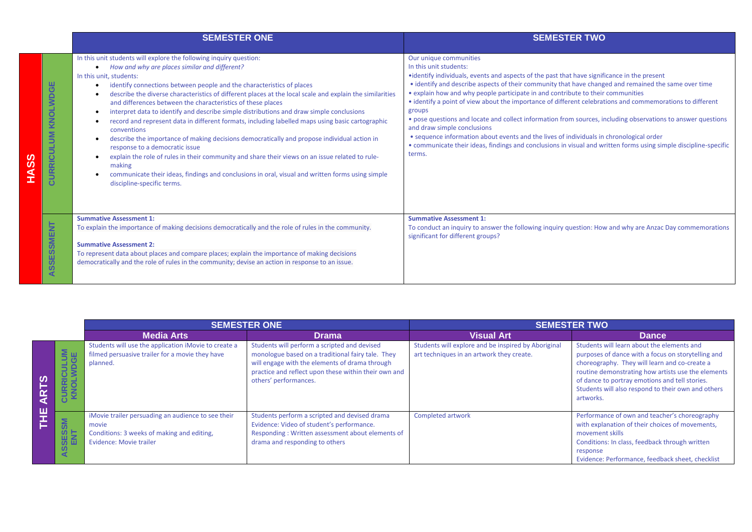|                                                      | <b>SEMESTER ONE</b>                                                                                                                                                                                                                                                                                                                                                                                                                                                                                                                                                                                                                                                                                                                                                                                                                                                                                                                                                                                                 | <b>SEMESTER TWO</b>                                                                                                                                                                                                                                                                                                                                                                                                                                                                                                                                                                                                                                                                                                                                                                                                                        |
|------------------------------------------------------|---------------------------------------------------------------------------------------------------------------------------------------------------------------------------------------------------------------------------------------------------------------------------------------------------------------------------------------------------------------------------------------------------------------------------------------------------------------------------------------------------------------------------------------------------------------------------------------------------------------------------------------------------------------------------------------------------------------------------------------------------------------------------------------------------------------------------------------------------------------------------------------------------------------------------------------------------------------------------------------------------------------------|--------------------------------------------------------------------------------------------------------------------------------------------------------------------------------------------------------------------------------------------------------------------------------------------------------------------------------------------------------------------------------------------------------------------------------------------------------------------------------------------------------------------------------------------------------------------------------------------------------------------------------------------------------------------------------------------------------------------------------------------------------------------------------------------------------------------------------------------|
| ш<br>$\overline{\mathbf{C}}$<br>KNOLWD<br>CURRICULUM | In this unit students will explore the following inquiry question:<br>How and why are places similar and different?<br>$\bullet$<br>In this unit, students:<br>identify connections between people and the characteristics of places<br>٠<br>describe the diverse characteristics of different places at the local scale and explain the similarities<br>and differences between the characteristics of these places<br>interpret data to identify and describe simple distributions and draw simple conclusions<br>record and represent data in different formats, including labelled maps using basic cartographic<br>conventions<br>describe the importance of making decisions democratically and propose individual action in<br>response to a democratic issue<br>explain the role of rules in their community and share their views on an issue related to rule-<br>making<br>communicate their ideas, findings and conclusions in oral, visual and written forms using simple<br>discipline-specific terms. | Our unique communities<br>In this unit students:<br>• identify individuals, events and aspects of the past that have significance in the present<br>• identify and describe aspects of their community that have changed and remained the same over time<br>• explain how and why people participate in and contribute to their communities<br>• identify a point of view about the importance of different celebrations and commemorations to different<br>groups<br>• pose questions and locate and collect information from sources, including observations to answer questions<br>and draw simple conclusions<br>• sequence information about events and the lives of individuals in chronological order<br>• communicate their ideas, findings and conclusions in visual and written forms using simple discipline-specific<br>terms. |
| <b>SMENT</b><br>SSES.<br>◀                           | <b>Summative Assessment 1:</b><br>To explain the importance of making decisions democratically and the role of rules in the community.<br><b>Summative Assessment 2:</b><br>To represent data about places and compare places; explain the importance of making decisions<br>democratically and the role of rules in the community; devise an action in response to an issue.                                                                                                                                                                                                                                                                                                                                                                                                                                                                                                                                                                                                                                       | <b>Summative Assessment 1:</b><br>To conduct an inquiry to answer the following inquiry question: How and why are Anzac Day commemorations<br>significant for different groups?                                                                                                                                                                                                                                                                                                                                                                                                                                                                                                                                                                                                                                                            |

|                |                                             | <b>SEMESTER ONE</b>                                                                                                                  |                                                                                                                                                                                                                                      | <b>SEMESTER TWO</b>                                                                              |                                                                                                                                                                                                                                                                                                                              |  |
|----------------|---------------------------------------------|--------------------------------------------------------------------------------------------------------------------------------------|--------------------------------------------------------------------------------------------------------------------------------------------------------------------------------------------------------------------------------------|--------------------------------------------------------------------------------------------------|------------------------------------------------------------------------------------------------------------------------------------------------------------------------------------------------------------------------------------------------------------------------------------------------------------------------------|--|
|                |                                             | <b>Media Arts</b>                                                                                                                    | <b>Drama</b>                                                                                                                                                                                                                         | <b>Visual Art</b>                                                                                | <b>Dance</b>                                                                                                                                                                                                                                                                                                                 |  |
| <b>SO</b><br>풀 | $\frac{5}{2}$ $\frac{11}{2}$<br><b>DOUN</b> | Students will use the application iMovie to create a<br>filmed persuasive trailer for a movie they have<br>planned.                  | Students will perform a scripted and devised<br>monologue based on a traditional fairy tale. They<br>will engage with the elements of drama through<br>practice and reflect upon these within their own and<br>others' performances. | Students will explore and be inspired by Aboriginal<br>art techniques in an artwork they create. | Students will learn about the elements and<br>purposes of dance with a focus on storytelling and<br>choreography. They will learn and co-create a<br>routine demonstrating how artists use the elements<br>of dance to portray emotions and tell stories.<br>Students will also respond to their own and others<br>artworks. |  |
|                | SSM<br><b>AS</b><br><b>AS</b>               | iMovie trailer persuading an audience to see their<br>movie<br>Conditions: 3 weeks of making and editing,<br>Evidence: Movie trailer | Students perform a scripted and devised drama<br>Evidence: Video of student's performance.<br>Responding: Written assessment about elements of<br>drama and responding to others                                                     | <b>Completed artwork</b>                                                                         | Performance of own and teacher's choreography<br>with explanation of their choices of movements,<br>movement skills<br>Conditions: In class, feedback through written<br>response<br>Evidence: Performance, feedback sheet, checklist                                                                                        |  |